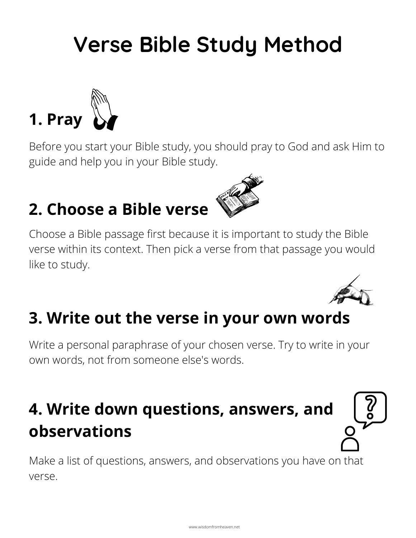## **Verse Bible Study Method**



Before you start your Bible study, you should pray to God and ask Him to guide and help you in your Bible study.

## **2. Choose a Bible verse**



Choose a Bible passage first because it is important to study the Bible verse within its context. Then pick a verse from that passage you would like to study.



#### **3. Write out the verse in your own words**

Write a personal paraphrase of your chosen verse. Try to write in your own words, not from someone else's words.

## **4. Write down questions, answers, and observations**

Make a list of questions, answers, and observations you have on that verse.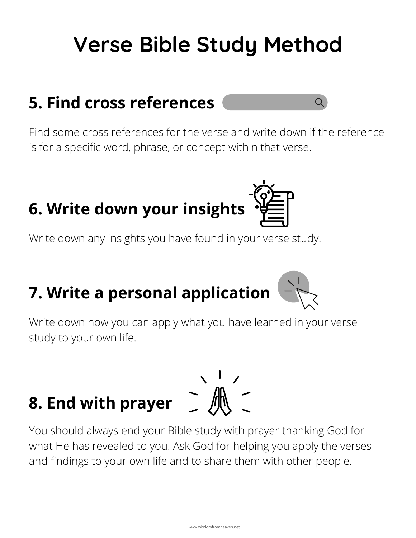## **Verse Bible Study Method**

### **5. Find cross references**

Find some cross references for the verse and write down if the reference is for a specific word, phrase, or concept within that verse.

 $\overline{Q}$ 



Write down any insights you have found in your verse study.



Write down how you can apply what you have learned in your verse study to your own life.

# **8. End with prayer**



You should always end your Bible study with prayer thanking God for what He has revealed to you. Ask God for helping you apply the verses and findings to your own life and to share them with other people.